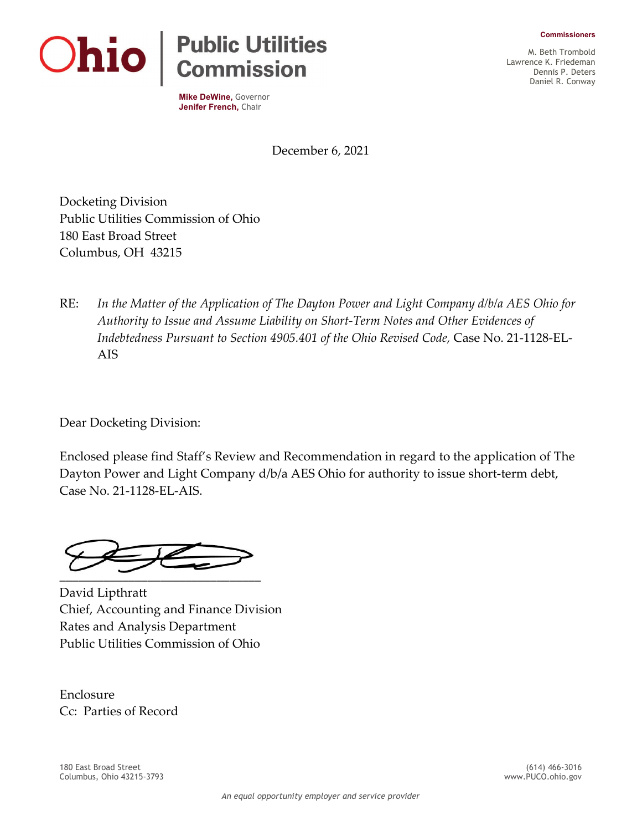**Commissioners**



**Mike DeWine,** Governor **Jenifer French,** Chair

M. Beth Trombold Lawrence K. Friedeman Dennis P. Deters Daniel R. Conway

December 6, 2021

Docketing Division Public Utilities Commission of Ohio 180 East Broad Street Columbus, OH 43215

RE: *In the Matter of the Application of The Dayton Power and Light Company d/b/a AES Ohio for Authority to Issue and Assume Liability on Short-Term Notes and Other Evidences of Indebtedness Pursuant to Section 4905.401 of the Ohio Revised Code,* Case No. 21-1128-EL-AIS

Dear Docketing Division:

Enclosed please find Staff's Review and Recommendation in regard to the application of The Dayton Power and Light Company d/b/a AES Ohio for authority to issue short-term debt, Case No. 21-1128-EL-AIS.

 $\overline{\phantom{a}}$  ,  $\overline{\phantom{a}}$  ,  $\overline{\phantom{a}}$  ,  $\overline{\phantom{a}}$  ,  $\overline{\phantom{a}}$  ,  $\overline{\phantom{a}}$  ,  $\overline{\phantom{a}}$  ,  $\overline{\phantom{a}}$  ,  $\overline{\phantom{a}}$  ,  $\overline{\phantom{a}}$  ,  $\overline{\phantom{a}}$  ,  $\overline{\phantom{a}}$  ,  $\overline{\phantom{a}}$  ,  $\overline{\phantom{a}}$  ,  $\overline{\phantom{a}}$  ,  $\overline{\phantom{a}}$ 

David Lipthratt Chief, Accounting and Finance Division Rates and Analysis Department Public Utilities Commission of Ohio

Enclosure Cc: Parties of Record

180 East Broad Street (614) 466-3016 Columbus, Ohio 43215-3793 www.PUCO.ohio.gov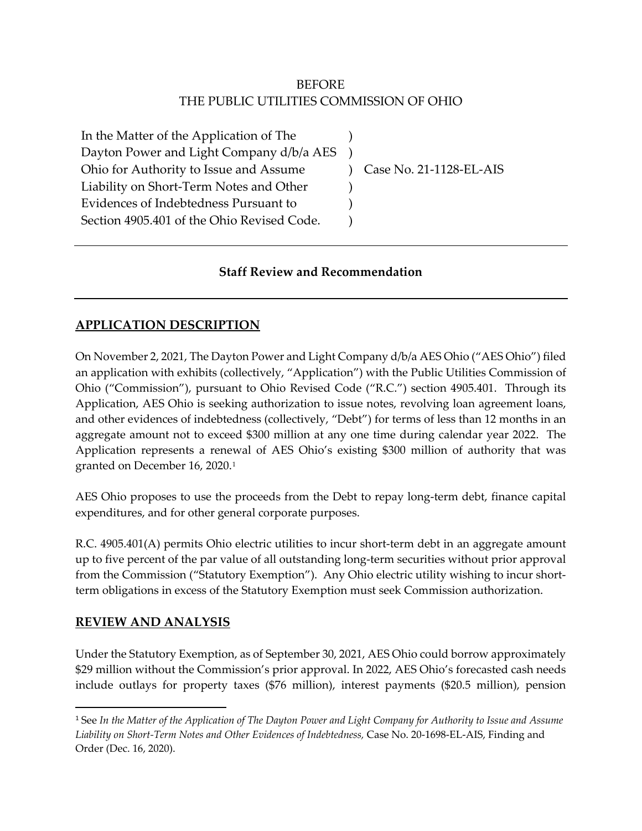## BEFORE THE PUBLIC UTILITIES COMMISSION OF OHIO

) ) ) ) ) )

In the Matter of the Application of The Dayton Power and Light Company d/b/a AES Ohio for Authority to Issue and Assume Liability on Short-Term Notes and Other Evidences of Indebtedness Pursuant to Section 4905.401 of the Ohio Revised Code.

Case No. 21-1128-EL-AIS

### **Staff Review and Recommendation**

### **APPLICATION DESCRIPTION**

On November 2, 2021, The Dayton Power and Light Company d/b/a AES Ohio ("AES Ohio") filed an application with exhibits (collectively, "Application") with the Public Utilities Commission of Ohio ("Commission"), pursuant to Ohio Revised Code ("R.C.") section 4905.401. Through its Application, AES Ohio is seeking authorization to issue notes, revolving loan agreement loans, and other evidences of indebtedness (collectively, "Debt") for terms of less than 12 months in an aggregate amount not to exceed \$300 million at any one time during calendar year 2022. The Application represents a renewal of AES Ohio's existing \$300 million of authority that was granted on December 16, 2020.[1](#page-1-0)

AES Ohio proposes to use the proceeds from the Debt to repay long-term debt, finance capital expenditures, and for other general corporate purposes.

R.C. 4905.401(A) permits Ohio electric utilities to incur short-term debt in an aggregate amount up to five percent of the par value of all outstanding long-term securities without prior approval from the Commission ("Statutory Exemption"). Any Ohio electric utility wishing to incur shortterm obligations in excess of the Statutory Exemption must seek Commission authorization.

#### **REVIEW AND ANALYSIS**

Under the Statutory Exemption, as of September 30, 2021, AES Ohio could borrow approximately \$29 million without the Commission's prior approval. In 2022, AES Ohio's forecasted cash needs include outlays for property taxes (\$76 million), interest payments (\$20.5 million), pension

<span id="page-1-0"></span><sup>1</sup> See *In the Matter of the Application of The Dayton Power and Light Company for Authority to Issue and Assume Liability on Short-Term Notes and Other Evidences of Indebtedness,* Case No. 20-1698-EL-AIS, Finding and Order (Dec. 16, 2020).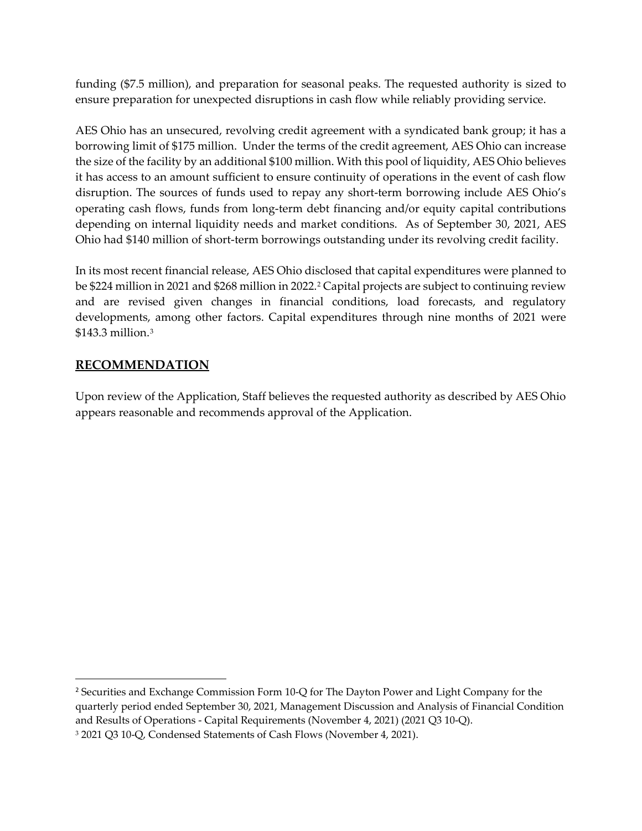funding (\$7.5 million), and preparation for seasonal peaks. The requested authority is sized to ensure preparation for unexpected disruptions in cash flow while reliably providing service.

AES Ohio has an unsecured, revolving credit agreement with a syndicated bank group; it has a borrowing limit of \$175 million. Under the terms of the credit agreement, AES Ohio can increase the size of the facility by an additional \$100 million. With this pool of liquidity, AES Ohio believes it has access to an amount sufficient to ensure continuity of operations in the event of cash flow disruption. The sources of funds used to repay any short-term borrowing include AES Ohio's operating cash flows, funds from long-term debt financing and/or equity capital contributions depending on internal liquidity needs and market conditions. As of September 30, 2021, AES Ohio had \$140 million of short-term borrowings outstanding under its revolving credit facility.

In its most recent financial release, AES Ohio disclosed that capital expenditures were planned to be \$[2](#page-2-0)24 million in 2021 and \$268 million in 2022.<sup>2</sup> Capital projects are subject to continuing review and are revised given changes in financial conditions, load forecasts, and regulatory developments, among other factors. Capital expenditures through nine months of 2021 were \$143.3 million.[3](#page-2-1)

#### **RECOMMENDATION**

Upon review of the Application, Staff believes the requested authority as described by AES Ohio appears reasonable and recommends approval of the Application.

<span id="page-2-1"></span><span id="page-2-0"></span><sup>&</sup>lt;sup>2</sup> Securities and Exchange Commission Form 10-Q for The Dayton Power and Light Company for the quarterly period ended September 30, 2021, Management Discussion and Analysis of Financial Condition and Results of Operations - Capital Requirements (November 4, 2021) (2021 Q3 10-Q). <sup>3</sup> 2021 Q3 10-Q, Condensed Statements of Cash Flows (November 4, 2021).